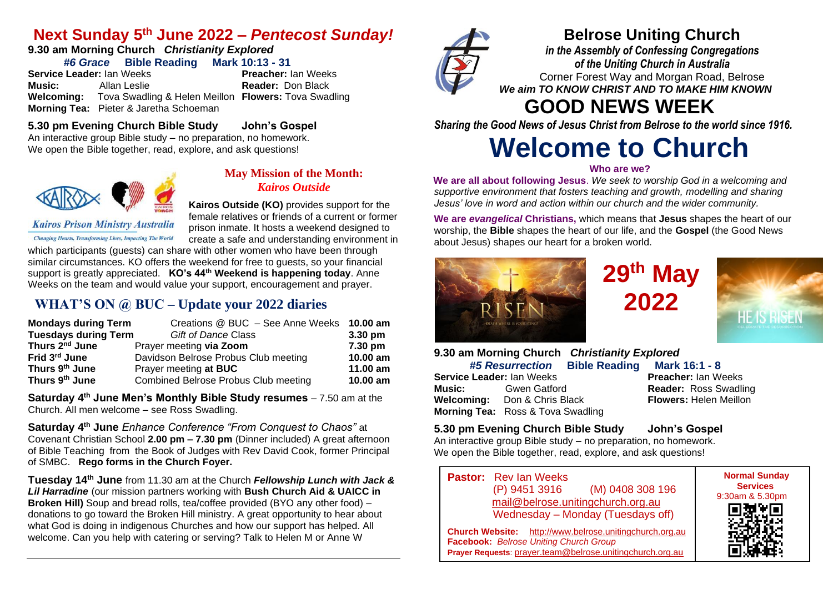## **Next Sunday 5 th June 2022 –** *Pentecost Sunday!*

#### **9.30 am Morning Church** *Christianity Explored #6 Grace* **Bible Reading Mark 10:13 - 31**

**Service Leader:** Ian Weeks **Preacher:** Ian Weeks **Music:** Allan Leslie **Reader:** Don Black **Welcoming:** Tova Swadling & Helen Meillon **Flowers:** Tova Swadling **Morning Tea:** Pieter & Jaretha Schoeman

## **Belrose Uniting Church**

*in the Assembly of Confessing Congregations of the Uniting Church in Australia* Corner Forest Way and Morgan Road, Belrose *We aim TO KNOW CHRIST AND TO MAKE HIM KNOWN*

# **GOOD NEWS WEEK**

*Sharing the Good News of Jesus Christ from Belrose to the world since 1916.*

# **Welcome to Church**

#### **Who are we?**

**We are all about following Jesus**. *We seek to worship God in a welcoming and supportive environment that fosters teaching and growth, modelling and sharing Jesus' love in word and action within our church and the wider community.*

**We are** *evangelical* **Christians,** which means that **Jesus** shapes the heart of our worship, the **Bible** shapes the heart of our life, and the **Gospel** (the Good News about Jesus) shapes our heart for a broken world.



# **29 th May 2022**



| 9.30 am Morning Church Christianity Explored |                                     |                            |                               |  |
|----------------------------------------------|-------------------------------------|----------------------------|-------------------------------|--|
|                                              | <b>#5 Resurrection</b>              | <b>Bible Reading</b>       | Mark 16:1 - 8                 |  |
| Service Leader: Ian Weeks                    |                                     | <b>Preacher: Ian Weeks</b> |                               |  |
| <b>Music:</b> Gwen Gatford                   |                                     |                            | <b>Reader: Ross Swadling</b>  |  |
|                                              | <b>Welcoming:</b> Don & Chris Black |                            | <b>Flowers: Helen Meillon</b> |  |
| <b>Morning Tea:</b> Ross & Tova Swadling     |                                     |                            |                               |  |

#### **5.30 pm Evening Church Bible Study John's Gospel**

An interactive group Bible study – no preparation, no homework. We open the Bible together, read, explore, and ask questions!

**Pastor:** Rev Ian Weeks (P) 9451 3916 (M) 0408 308 196 [mail@belrose.unitingchurch.org.au](mailto:mail@belrose.unitingchurch.org.au) Wednesday – Monday (Tuesdays off)

**Church Website:** [http://www.belrose.unitingchurch.org.au](http://www.belrose.unitingchurch.org.au/) **Facebook:** *Belrose Uniting Church Group* **Prayer Requests**: [prayer.team@belrose.unitingchurch.org.au](mailto:prayer.team@belrose.unitingchurch.org.au)



**5.30 pm Evening Church Bible Study John's Gospel**

An interactive group Bible study – no preparation, no homework. We open the Bible together, read, explore, and ask questions!



#### **May Mission of the Month:** *Kairos Outside*

**Kairos Outside (KO)** provides support for the female relatives or friends of a current or former prison inmate. It hosts a weekend designed to create a safe and understanding environment in

**Kairos Prison Ministry Australia Changing Hearts, Transforming Lives, Impacting The World** 

which participants (guests) can share with other women who have been through similar circumstances. KO offers the weekend for free to guests, so your financial support is greatly appreciated. **KO's 44th Weekend is happening today**. Anne Weeks on the team and would value your support, encouragement and prayer.

### **WHAT'S ON @ BUC – Update your 2022 diaries**

| <b>Mondays during Term</b>  | Creations @ BUC - See Anne Weeks 10.00 am |           |
|-----------------------------|-------------------------------------------|-----------|
| <b>Tuesdays during Term</b> | <b>Gift of Dance Class</b>                | $3.30$ pm |
| Thurs 2 <sup>nd</sup> June  | Prayer meeting via Zoom                   | 7.30 pm   |
| Frid 3 <sup>rd</sup> June   | Davidson Belrose Probus Club meeting      | 10.00 am  |
| Thurs 9th June              | Prayer meeting at BUC                     | 11.00 am  |
| Thurs 9 <sup>th</sup> June  | Combined Belrose Probus Club meeting      | 10.00 am  |

**Saturday 4th June Men's Monthly Bible Study resumes** – 7.50 am at the Church. All men welcome – see Ross Swadling.

**Saturday 4th June** *Enhance Conference "From Conquest to Chaos"* at Covenant Christian School **2.00 pm – 7.30 pm** (Dinner included) A great afternoon of Bible Teaching from the Book of Judges with Rev David Cook, former Principal of SMBC. **Rego forms in the Church Foyer.**

**Tuesday 14th June** from 11.30 am at the Church *Fellowship Lunch with Jack & Lil Harradine* (our mission partners working with **Bush Church Aid & UAICC in Broken Hill)** Soup and bread rolls, tea/coffee provided (BYO any other food) – donations to go toward the Broken Hill ministry. A great opportunity to hear about what God is doing in indigenous Churches and how our support has helped. All welcome. Can you help with catering or serving? Talk to Helen M or Anne W